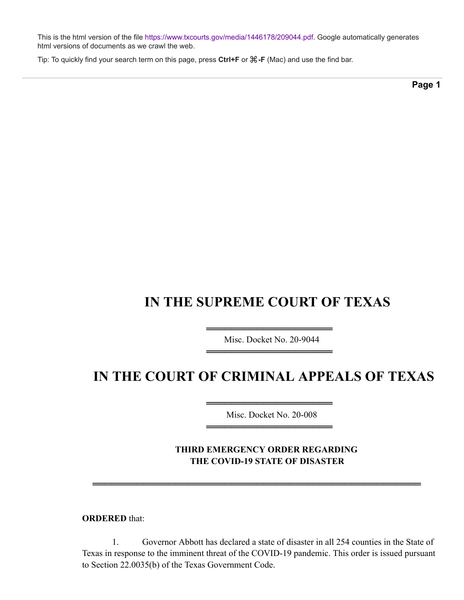This is the html version of the file<https://www.txcourts.gov/media/1446178/209044.pdf>. Google automatically generates html versions of documents as we crawl the web.

Tip: To quickly find your search term on this page, press **Ctrl+F** or ⌘**-F** (Mac) and use the find bar.

**Page 1**

## **IN THE SUPREME COURT OF TEXAS**

═════════════════════════════════════ Misc. Docket No. 20-9044 ════════════════════

## **IN THE COURT OF CRIMINAL APPEALS OF TEXAS**

═════════════════════════════════════ Misc. Docket No. 20-008 ════════════════════

**THIRD EMERGENCY ORDER REGARDING THE COVID-19 STATE OF DISASTER**

**ORDERED** that:

1. Governor Abbott has declared a state of disaster in all 254 counties in the State of Texas in response to the imminent threat of the COVID-19 pandemic. This order is issued pursuant to Section 22.0035(b) of the Texas Government Code.

════════════════════════════════════════════════════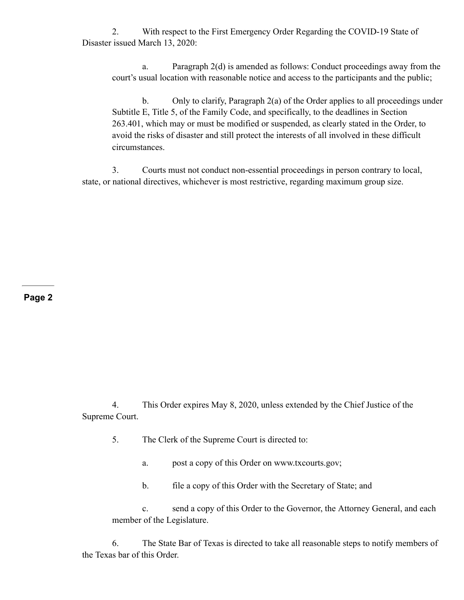2. With respect to the First Emergency Order Regarding the COVID-19 State of Disaster issued March 13, 2020:

a. Paragraph 2(d) is amended as follows: Conduct proceedings away from the court's usual location with reasonable notice and access to the participants and the public;

b. Only to clarify, Paragraph 2(a) of the Order applies to all proceedings under Subtitle E, Title 5, of the Family Code, and specifically, to the deadlines in Section 263.401, which may or must be modified or suspended, as clearly stated in the Order, to avoid the risks of disaster and still protect the interests of all involved in these difficult circumstances.

3. Courts must not conduct non-essential proceedings in person contrary to local, state, or national directives, whichever is most restrictive, regarding maximum group size.

## **Page 2**

4. This Order expires May 8, 2020, unless extended by the Chief Justice of the Supreme Court.

- 5. The Clerk of the Supreme Court is directed to:
	- a. post a copy of this Order on www.txcourts.gov;
	- b. file a copy of this Order with the Secretary of State; and

c. send a copy of this Order to the Governor, the Attorney General, and each member of the Legislature.

6. The State Bar of Texas is directed to take all reasonable steps to notify members of the Texas bar of this Order.